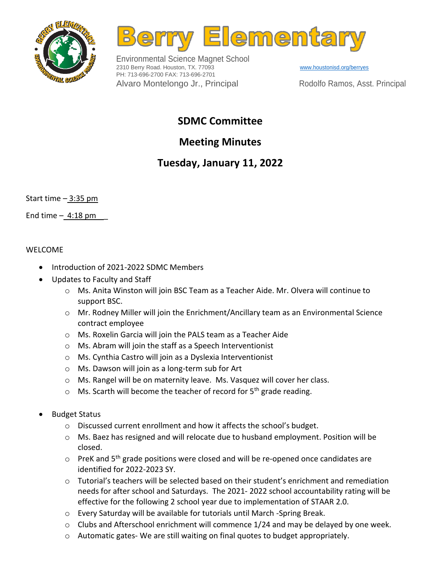



Environmental Science Magnet School 2310 Berry Road. Houston, TX. 77093 PH: 713-696-2700 FAX: 713-696-2701 Alvaro Montelongo Jr., Principal

[www.houstonisd.org/berryes](http://www.houstonisd.org/berryes) Rodolfo Ramos, Asst. Principal

### **SDMC Committee**

# **Meeting Minutes**

## **Tuesday, January 11, 2022**

Start time – 3:35 pm

End time  $-4:18$  pm

#### WELCOME

- Introduction of 2021-2022 SDMC Members
- Updates to Faculty and Staff
	- o Ms. Anita Winston will join BSC Team as a Teacher Aide. Mr. Olvera will continue to support BSC.
	- o Mr. Rodney Miller will join the Enrichment/Ancillary team as an Environmental Science contract employee
	- o Ms. Roxelin Garcia will join the PALS team as a Teacher Aide
	- o Ms. Abram will join the staff as a Speech Interventionist
	- o Ms. Cynthia Castro will join as a Dyslexia Interventionist
	- o Ms. Dawson will join as a long-term sub for Art
	- o Ms. Rangel will be on maternity leave. Ms. Vasquez will cover her class.
	- $\circ$  Ms. Scarth will become the teacher of record for 5<sup>th</sup> grade reading.
- Budget Status
	- o Discussed current enrollment and how it affects the school's budget.
	- $\circ$  Ms. Baez has resigned and will relocate due to husband employment. Position will be closed.
	- $\circ$  PreK and 5<sup>th</sup> grade positions were closed and will be re-opened once candidates are identified for 2022-2023 SY.
	- $\circ$  Tutorial's teachers will be selected based on their student's enrichment and remediation needs for after school and Saturdays. The 2021- 2022 school accountability rating will be effective for the following 2 school year due to implementation of STAAR 2.0.
	- o Every Saturday will be available for tutorials until March -Spring Break.
	- $\circ$  Clubs and Afterschool enrichment will commence 1/24 and may be delayed by one week.
	- $\circ$  Automatic gates-We are still waiting on final quotes to budget appropriately.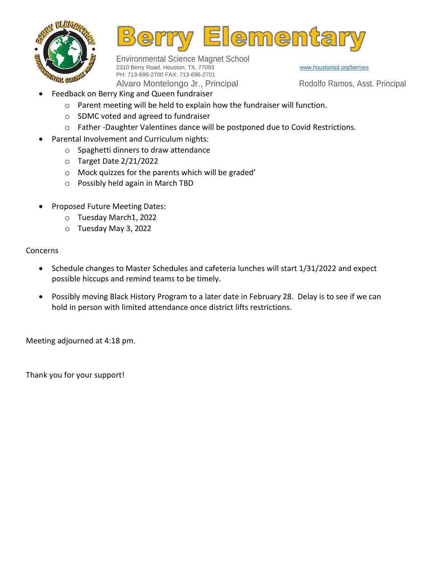



Environmental Science Magnet School 2310 Berry Road. Houston, TX. 77093 PH: 713-696-2700 FAX: 713-696-2701 Alvaro Montelongo Jr., Principal

[www.houstonisd.org/berryes](http://www.houstonisd.org/berryes)

Rodolfo Ramos, Asst. Principal

- Feedback on Berry King and Queen fundraiser
	- o Parent meeting will be held to explain how the fundraiser will function.
		- o SDMC voted and agreed to fundraiser
		- $\circ$  Father -Daughter Valentines dance will be postponed due to Covid Restrictions.
- Parental Involvement and Curriculum nights:
	- o Spaghetti dinners to draw attendance
	- o Target Date 2/21/2022
	- o Mock quizzes for the parents which will be graded'
	- o Possibly held again in March TBD
- Proposed Future Meeting Dates:
	- o Tuesday March1, 2022
	- o Tuesday May 3, 2022

#### Concerns

- Schedule changes to Master Schedules and cafeteria lunches will start 1/31/2022 and expect possible hiccups and remind teams to be timely.
- Possibly moving Black History Program to a later date in February 28. Delay is to see if we can hold in person with limited attendance once district lifts restrictions.

Meeting adjourned at 4:18 pm.

Thank you for your support!